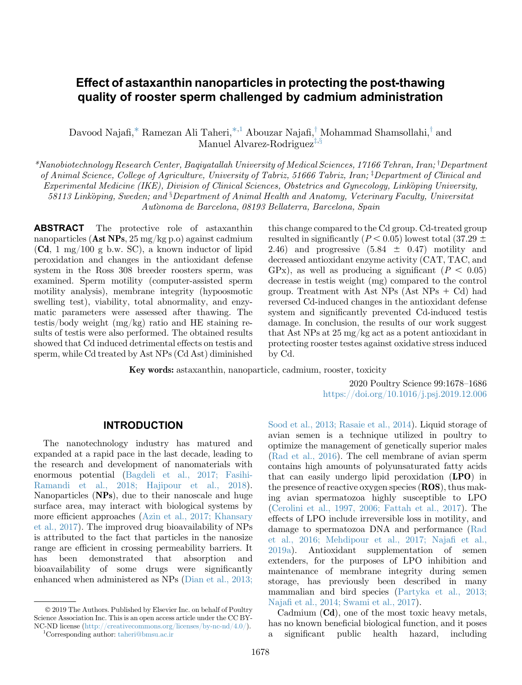# Effect of astaxanthin nanoparticles in protecting the post-thawing quality of rooster sperm challenged by cadmium administration

Davood Najafi, $^*$  $^*$  Ramezan Ali Taheri, $^{*,1}$  $^{*,1}$  $^{*,1}$  Abouzar Najafi, $^\dagger$  Mohammad Shamsollahi, $^\dagger$  and Manuel Alvare[z](#page-0-2)-Rodriguez<sup> $\ddag$ , §</sup>

<span id="page-0-3"></span><span id="page-0-2"></span><span id="page-0-0"></span> $*$ Nanobiotechnolog[y](#page-0-3) Research Center, Baqiyatallah University of Medical Sciences, 17166 Tehran, Iran; <sup>†</sup>Department of Animal Science, College of Agriculture, University of Tabri[z](#page-0-3), 51666 Tabriz, Iran; <sup>‡</sup>Department of Clinical and Experimental Medicine (IKE), Division of Clinical Sciences, Obstetrics and Gynecology, Linkoping University,  $58113$  Linkoping, Sweden; and  $\$$ Department of Animal Health and Anatomy, Veterinary Faculty, Universitat Autonoma de Barcelona, 08193 Bellaterra, Barcelona, Spain -

ABSTRACT The protective role of astaxanthin nanoparticles (Ast NPs,  $25 \,\mathrm{mg/kg}$  p.o) against cadmium (Cd, 1 mg/100 g b.w. SC), a known inductor of lipid peroxidation and changes in the antioxidant defense system in the Ross 308 breeder roosters sperm, was examined. Sperm motility (computer-assisted sperm motility analysis), membrane integrity (hypoosmotic swelling test), viability, total abnormality, and enzymatic parameters were assessed after thawing. The testis/body weight (mg/kg) ratio and HE staining results of testis were also performed. The obtained results showed that Cd induced detrimental effects on testis and sperm, while Cd treated by Ast NPs (Cd Ast) diminished

this change compared to the Cd group. Cd-treated group resulted in significantly ( $P < 0.05$ ) lowest total (37.29  $\pm$ ) 2.46) and progressive  $(5.84 \pm 0.47)$  motility and decreased antioxidant enzyme activity (CAT, TAC, and GPx), as well as producing a significant ( $P < 0.05$ ) decrease in testis weight (mg) compared to the control group. Treatment with Ast  $NPs$  (Ast  $NPs + Cd$ ) had reversed Cd-induced changes in the antioxidant defense system and significantly prevented Cd-induced testis damage. In conclusion, the results of our work suggest that Ast NPs at 25 mg/kg act as a potent antioxidant in protecting rooster testes against oxidative stress induced by Cd.

Key words: astaxanthin, nanoparticle, cadmium, rooster, toxicity

2020 Poultry Science 99:1678–1686 <https://doi.org/10.1016/j.psj.2019.12.006>

#### INTRODUCTION

The nanotechnology industry has matured and expanded at a rapid pace in the last decade, leading to the research and development of nanomaterials with enormous potential ([Bagdeli et al., 2017; Fasihi-](#page-6-0)[Ramandi et al., 2018; Hajipour et al., 2018\)](#page-6-0). Nanoparticles (NPs), due to their nanoscale and huge surface area, may interact with biological systems by more efficient approaches [\(Azin et al., 2017; Khansary](#page-6-0) [et al., 2017\)](#page-6-0). The improved drug bioavailability of NPs is attributed to the fact that particles in the nanosize range are efficient in crossing permeability barriers. It has been demonstrated that absorption and bioavailability of some drugs were significantly enhanced when administered as NPs ([Dian et al., 2013;](#page-7-0)

 2019 The Authors. Published by Elsevier Inc. on behalf of Poultry Science Association Inc. This is an open access article under the CC BY-NC-ND license (<http://creativecommons.org/licenses/by-nc-nd/4.0/>). <sup>1</sup>

<span id="page-0-1"></span><sup>1</sup>Corresponding author: [taheri@bmsu.ac.ir](mailto:taheri@bmsu.ac.ir)

[Sood et al., 2013; Rasaie et al., 2014\)](#page-7-0). Liquid storage of avian semen is a technique utilized in poultry to optimize the management of genetically superior males [\(Rad et al., 2016\)](#page-7-0). The cell membrane of avian sperm contains high amounts of polyunsaturated fatty acids that can easily undergo lipid peroxidation  $(LPO)$  in the presence of reactive oxygen species (ROS), thus making avian spermatozoa highly susceptible to LPO [\(Cerolini et al., 1997, 2006; Fattah et al., 2017\)](#page-6-0). The effects of LPO include irreversible loss in motility, and damage to spermatozoa DNA and performance [\(Rad](#page-7-0) [et al., 2016; Mehdipour et al., 2017; Naja](#page-7-0)fi et al., [2019a](#page-7-0)). Antioxidant supplementation of semen extenders, for the purposes of LPO inhibition and maintenance of membrane integrity during semen storage, has previously been described in many mammalian and bird species [\(Partyka et al., 2013;](#page-7-0) Najafi [et al., 2014; Swami et al., 2017\)](#page-7-0).

Cadmium (Cd), one of the most toxic heavy metals, has no known beneficial biological function, and it poses a significant public health hazard, including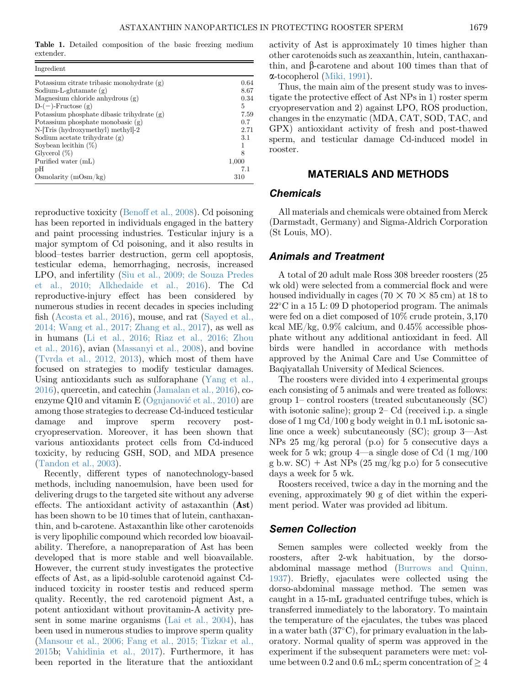<span id="page-1-0"></span>Table 1. Detailed composition of the basic freezing medium extender.

| Ingredient                                   |       |
|----------------------------------------------|-------|
| Potassium citrate tribasic monohydrate (g)   | 0.64  |
| Sodium-L-glutamate $(g)$                     | 8.67  |
| Magnesium chloride anhydrous $(g)$           | 0.34  |
| $D-(-)$ -Fructose $(g)$                      | 5     |
| Potassium phosphate dibasic trihydrate $(g)$ | 7.59  |
| Potassium phosphate monobasic $(g)$          | 0.7   |
| N-Tris (hydroxymethyl) methyl-2              | 2.71  |
| Sodium acetate trihydrate $(g)$              | 3.1   |
| Soybean lecithin $(\%)$                      |       |
| Glycerol $(\%)$                              | 8     |
| Purified water (mL)                          | 1,000 |
| рH                                           | 7.1   |
| Osmolarity $(mOsm/kg)$                       | 310   |

reproductive toxicity [\(Benoff et al., 2008](#page-6-0)). Cd poisoning has been reported in individuals engaged in the battery and paint processing industries. Testicular injury is a major symptom of Cd poisoning, and it also results in blood–testes barrier destruction, germ cell apoptosis, testicular edema, hemorrhaging, necrosis, increased LPO, and infertility [\(Siu et al., 2009; de Souza Predes](#page-7-0) [et al., 2010; Alkhedaide et al., 2016\)](#page-7-0). The Cd reproductive-injury effect has been considered by numerous studies in recent decades in species including fish ([Acosta et al., 2016\)](#page-6-0), mouse, and rat [\(Sayed et al.,](#page-7-0) [2014; Wang et al., 2017; Zhang et al., 2017\)](#page-7-0), as well as in humans [\(Li et al., 2016; Riaz et al., 2016; Zhou](#page-7-0) [et al., 2016](#page-7-0)), avian ([Massanyi et al., 2008\)](#page-7-0), and bovine ([Tvrda et al., 2012, 2013\)](#page-8-0), which most of them have focused on strategies to modify testicular damages. Using antioxidants such as sulforaphane [\(Yang et al.,](#page-8-0) [2016\)](#page-8-0), quercetin, and catechin [\(Jamalan et al., 2016](#page-7-0)), coenzyme Q10 and vitamin E [\(Ognjanovi](#page-7-0)[c et al., 2010](#page-7-0)) are among those strategies to decrease Cd-induced testicular damage and improve sperm recovery postcryopreservation. Moreover, it has been shown that various antioxidants protect cells from Cd-induced toxicity, by reducing GSH, SOD, and MDA presence ([Tandon et al., 2003\)](#page-8-0).

Recently, different types of nanotechnology-based methods, including nanoemulsion, have been used for delivering drugs to the targeted site without any adverse effects. The antioxidant activity of astaxanthin (Ast) has been shown to be 10 times that of lutein, canthaxanthin, and b-carotene. Astaxanthin like other carotenoids is very lipophilic compound which recorded low bioavailability. Therefore, a nanopreparation of Ast has been developed that is more stable and well bioavailable. However, the current study investigates the protective effects of Ast, as a lipid-soluble carotenoid against Cdinduced toxicity in rooster testis and reduced sperm quality. Recently, the red carotenoid pigment Ast, a potent antioxidant without provitamin-A activity present in some marine organisms ([Lai et al., 2004](#page-7-0)), has been used in numerous studies to improve sperm quality ([Mansour et al., 2006; Fang et al., 2015; Tizkar et al.,](#page-7-0) [2015b](#page-7-0); [Vahidinia et al., 2017\)](#page-8-0). Furthermore, it has been reported in the literature that the antioxidant

activity of Ast is approximately 10 times higher than other carotenoids such as zeaxanthin, lutein, canthaxanthin, and  $\beta$ -carotene and about 100 times than that of a-tocopherol [\(Miki, 1991\)](#page-7-0).

Thus, the main aim of the present study was to investigate the protective effect of Ast NPs in 1) roster sperm cryopreservation and 2) against LPO, ROS production, changes in the enzymatic (MDA, CAT, SOD, TAC, and GPX) antioxidant activity of fresh and post-thawed sperm, and testicular damage Cd-induced model in rooster.

### MATERIALS AND METHODS

#### **Chemicals**

All materials and chemicals were obtained from Merck (Darmstadt, Germany) and Sigma-Aldrich Corporation (St Louis, MO).

#### Animals and Treatment

A total of 20 adult male Ross 308 breeder roosters (25 wk old) were selected from a commercial flock and were housed individually in cages (70  $\times$  70  $\times$  85 cm) at 18 to 22<sup>°</sup>C in a 15 L: 09 D photoperiod program. The animals were fed on a diet composed of 10% crude protein, 3,170 kcal ME/kg,  $0.9\%$  calcium, and  $0.45\%$  accessible phosphate without any additional antioxidant in feed. All birds were handled in accordance with methods approved by the Animal Care and Use Committee of Baqiyatallah University of Medical Sciences.

The roosters were divided into 4 experimental groups each consisting of 5 animals and were treated as follows: group 1– control roosters (treated subcutaneously (SC) with isotonic saline); group 2– Cd (received i.p. a single dose of 1 mg Cd/100 g body weight in 0.1 mL isotonic saline once a week) subcutaneously (SC); group 3—Ast NPs 25 mg/kg peroral (p.o) for 5 consecutive days a week for 5 wk; group  $4$ —a single dose of Cd  $(1 \text{ mg}/100)$ g b.w.  $SC$ ) + Ast NPs (25 mg/kg p.o) for 5 consecutive days a week for 5 wk.

Roosters received, twice a day in the morning and the evening, approximately 90 g of diet within the experiment period. Water was provided ad libitum.

#### Semen Collection

Semen samples were collected weekly from the roosters, after 2-wk habituation, by the dorsoabdominal massage method ([Burrows and Quinn,](#page-6-0) [1937](#page-6-0)). Briefly, ejaculates were collected using the dorso-abdominal massage method. The semen was caught in a 15-mL graduated centrifuge tubes, which is transferred immediately to the laboratory. To maintain the temperature of the ejaculates, the tubes was placed in a water bath  $(37^{\circ}C)$ , for primary evaluation in the laboratory. Normal quality of sperm was approved in the experiment if the subsequent parameters were met: volume between 0.2 and 0.6 mL; sperm concentration of  $\geq 4$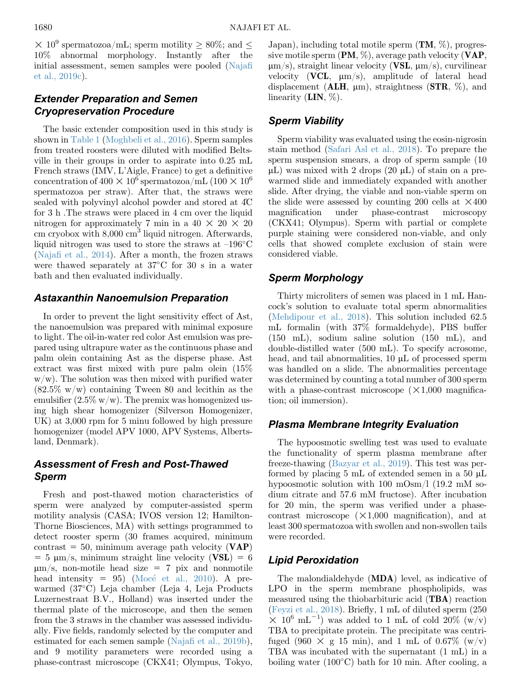$\times$  10<sup>9</sup> spermatozoa/mL; sperm motility  $> 80\%$ ; and  $\le$ 10% abnormal morphology. Instantly after the initial assessment, semen samples were pooled [\(Naja](#page-7-0)fi [et al., 2019c\)](#page-7-0).

# Extender Preparation and Semen Cryopreservation Procedure

The basic extender composition used in this study is shown in [Table 1](#page-1-0) ([Moghbeli et al., 2016\)](#page-7-0). Sperm samples from treated roosters were diluted with modified Beltsville in their groups in order to aspirate into 0.25 mL French straws (IMV, L'Aigle, France) to get a definitive concentration of  $400 \times 10^6$  spermatozoa/mL  $(100 \times 10^6$ spermatozoa per straw). After that, the straws were sealed with polyvinyl alcohol powder and stored at 4C for 3 h .The straws were placed in 4 cm over the liquid nitrogen for approximately 7 min in a  $40 \times 20 \times 20$ cm cryobox with  $8,000 \text{ cm}^3$  liquid nitrogen. Afterwards, liquid nitrogen was used to store the straws at  $-196^{\circ}$ C (Najafi [et al., 2014\)](#page-7-0). After a month, the frozen straws were thawed separately at  $37^{\circ}$ C for 30 s in a water bath and then evaluated individually.

## Astaxanthin Nanoemulsion Preparation

In order to prevent the light sensitivity effect of Ast, the nanoemulsion was prepared with minimal exposure to light. The oil-in-water red color Ast emulsion was prepared using ultrapure water as the continuous phase and palm olein containing Ast as the disperse phase. Ast extract was first mixed with pure palm olein (15%  $w/w$ ). The solution was then mixed with purified water  $(82.5\% \text{ w/w})$  containing Tween 80 and lecithin as the emulsifier  $(2.5\% \text{ w/w})$ . The premix was homogenized using high shear homogenizer (Silverson Homogenizer, UK) at 3,000 rpm for 5 minu followed by high pressure homogenizer (model APV 1000, APV Systems, Albertsland, Denmark).

# Assessment of Fresh and Post-Thawed Sperm

Fresh and post-thawed motion characteristics of sperm were analyzed by computer-assisted sperm motility analysis (CASA; IVOS version 12; Hamilton-Thorne Biosciences, MA) with settings programmed to detect rooster sperm (30 frames acquired, minimum contrast = 50, minimum average path velocity  $(VAP)$  $= 5 \text{ }\mu\text{m/s},$  minimum straight line velocity (VSL)  $= 6$  $\mu$ m/s, non-motile head size = 7 pix and nonmotile head intensity  $= 95$ ) [\(Moc](#page-7-0)é et al., 2010). A prewarmed (37-C) Leja chamber (Leja 4, Leja Products Luzernestraat B.V., Holland) was inserted under the thermal plate of the microscope, and then the semen from the 3 straws in the chamber was assessed individually. Five fields, randomly selected by the computer and estimated for each semen sample (Najafi [et al., 2019b\)](#page-7-0), and 9 motility parameters were recorded using a phase-contrast microscope (CKX41; Olympus, Tokyo,

Japan), including total motile sperm  $(TM, \%)$ , progressive motile sperm  $(PM, %)$ , average path velocity  $(VAR, %)$  $\mu$ m/s), straight linear velocity (VSL,  $\mu$ m/s), curvilinear velocity (VCL,  $\mu$ m/s), amplitude of lateral head displacement ( $ALH$ ,  $\mu$ m), straightness ( $STR$ , %), and linearity  $(LIN, %)$ .

# Sperm Viability

Sperm viability was evaluated using the eosin-nigrosin stain method ([Safari Asl et al., 2018](#page-7-0)). To prepare the sperm suspension smears, a drop of sperm sample (10  $\mu$ L) was mixed with 2 drops (20  $\mu$ L) of stain on a prewarmed slide and immediately expanded with another slide. After drying, the viable and non-viable sperm on the slide were assessed by counting 200 cells at  $\times 400$ magnification under phase-contrast microscopy (CKX41; Olympus). Sperm with partial or complete purple staining were considered non-viable, and only cells that showed complete exclusion of stain were considered viable.

# Sperm Morphology

Thirty microliters of semen was placed in 1 mL Hancock's solution to evaluate total sperm abnormalities [\(Mehdipour et al., 2018](#page-7-0)). This solution included 62.5 mL formalin (with 37% formaldehyde), PBS buffer (150 mL), sodium saline solution (150 mL), and double-distilled water (500 mL). To specify acrosome, head, and tail abnormalities,  $10 \mu L$  of processed sperm was handled on a slide. The abnormalities percentage was determined by counting a total number of 300 sperm with a phase-contrast microscope  $(\times1,000$  magnification; oil immersion).

# Plasma Membrane Integrity Evaluation

The hypoosmotic swelling test was used to evaluate the functionality of sperm plasma membrane after freeze-thawing ([Bazyar et al., 2019](#page-6-0)). This test was performed by placing 5 mL of extended semen in a 50  $\mu$ L hypoosmotic solution with 100 mOsm/l (19.2 mM sodium citrate and 57.6 mM fructose). After incubation for 20 min, the sperm was verified under a phasecontrast microscope  $(X1,000$  magnification), and at least 300 spermatozoa with swollen and non-swollen tails were recorded.

# Lipid Peroxidation

The malondialdehyde (MDA) level, as indicative of LPO in the sperm membrane phospholipids, was measured using the thiobarbituric acid (TBA) reaction [\(Feyzi et al., 2018](#page-7-0)). Briefly, 1 mL of diluted sperm (250  $\times$  10<sup>6</sup> mL<sup>-1</sup>) was added to 1 mL of cold 20% (w/v) TBA to precipitate protein. The precipitate was centrifuged (960  $\times$  g 15 min), and 1 mL of 0.67% (w/v) TBA was incubated with the supernatant (1 mL) in a boiling water  $(100^{\circ}$ C bath for 10 min. After cooling, a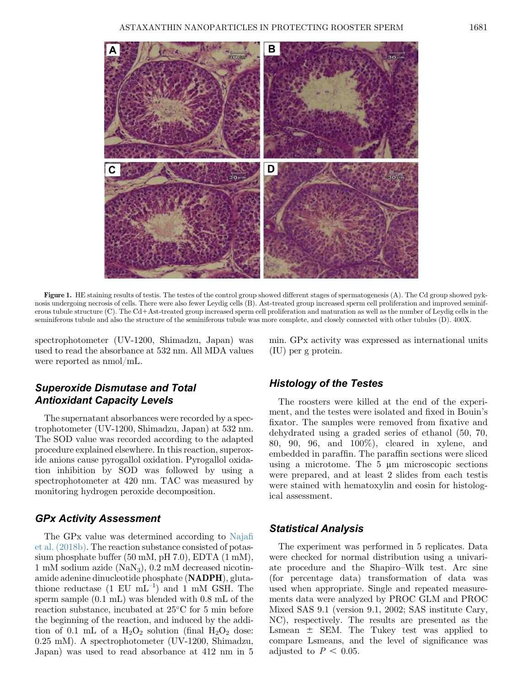<span id="page-3-0"></span>

Figure 1. HE staining results of testis. The testes of the control group showed different stages of spermatogenesis (A). The Cd group showed pyknosis undergoing necrosis of cells. There were also fewer Leydig cells (B). Ast-treated group increased sperm cell proliferation and improved seminiferous tubule structure (C). The Cd+Ast-treated group increased sperm cell proliferation and maturation as well as the number of Leydig cells in the seminiferous tubule and also the structure of the seminiferous tubule was more complete, and closely connected with other tubules (D). 400X.

spectrophotometer (UV-1200, Shimadzu, Japan) was used to read the absorbance at 532 nm. All MDA values were reported as nmol/mL.

min. GPx activity was expressed as international units (IU) per g protein.

## Superoxide Dismutase and Total Antioxidant Capacity Levels

The supernatant absorbances were recorded by a spectrophotometer (UV-1200, Shimadzu, Japan) at 532 nm. The SOD value was recorded according to the adapted procedure explained elsewhere. In this reaction, superoxide anions cause pyrogallol oxidation. Pyrogallol oxidation inhibition by SOD was followed by using a spectrophotometer at 420 nm. TAC was measured by monitoring hydrogen peroxide decomposition.

## GPx Activity Assessment

The GPx value was determined according to [Naja](#page-7-0)fi [et al. \(2018b\).](#page-7-0) The reaction substance consisted of potassium phosphate buffer (50 mM, pH 7.0), EDTA (1 mM), 1 mM sodium azide  $(NaN_3)$ , 0.2 mM decreased nicotinamide adenine dinucleotide phosphate (NADPH), glutathione reductase  $(1 \text{ EU } mL^{-1})$  and  $1 \text{ mM } GSH$ . The sperm sample (0.1 mL) was blended with 0.8 mL of the reaction substance, incubated at  $25^{\circ}$ C for 5 min before the beginning of the reaction, and induced by the addition of 0.1 mL of a  $H_2O_2$  solution (final  $H_2O_2$  dose: 0.25 mM). A spectrophotometer (UV-1200, Shimadzu, Japan) was used to read absorbance at 412 nm in 5

## Histology of the Testes

The roosters were killed at the end of the experiment, and the testes were isolated and fixed in Bouin's fixator. The samples were removed from fixative and dehydrated using a graded series of ethanol (50, 70, 80, 90, 96, and 100%), cleared in xylene, and embedded in paraffin. The paraffin sections were sliced using a microtome. The  $5 \mu m$  microscopic sections were prepared, and at least 2 slides from each testis were stained with hematoxylin and eosin for histological assessment.

## Statistical Analysis

The experiment was performed in 5 replicates. Data were checked for normal distribution using a univariate procedure and the Shapiro–Wilk test. Arc sine (for percentage data) transformation of data was used when appropriate. Single and repeated measurements data were analyzed by PROC GLM and PROC Mixed SAS 9.1 (version 9.1, 2002; SAS institute Cary, NC), respectively. The results are presented as the Lsmean  $\pm$  SEM. The Tukey test was applied to compare Lsmeans, and the level of significance was adjusted to  $P < 0.05$ .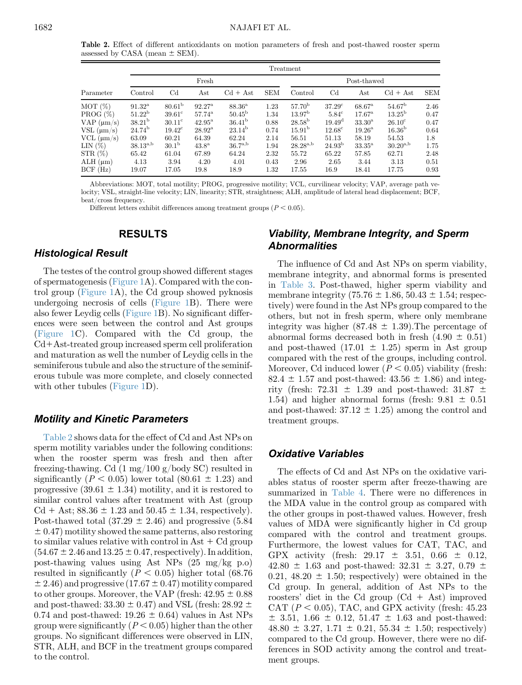Table 2. Effect of different antioxidants on motion parameters of fresh and post-thawed rooster sperm assessed by CASA (mean  $\pm$  SEM).

|                                                                                                                                              |                                                                                                                          |                                                                                                                                     |                                                                                                                                 |                                                                                                                        |                                                                      | Treatment                                                                                                                             |                                                                                                                            |                                                                                                                                |                                                                                                                                 |                                                                     |
|----------------------------------------------------------------------------------------------------------------------------------------------|--------------------------------------------------------------------------------------------------------------------------|-------------------------------------------------------------------------------------------------------------------------------------|---------------------------------------------------------------------------------------------------------------------------------|------------------------------------------------------------------------------------------------------------------------|----------------------------------------------------------------------|---------------------------------------------------------------------------------------------------------------------------------------|----------------------------------------------------------------------------------------------------------------------------|--------------------------------------------------------------------------------------------------------------------------------|---------------------------------------------------------------------------------------------------------------------------------|---------------------------------------------------------------------|
|                                                                                                                                              |                                                                                                                          |                                                                                                                                     | Post-thawed                                                                                                                     |                                                                                                                        |                                                                      |                                                                                                                                       |                                                                                                                            |                                                                                                                                |                                                                                                                                 |                                                                     |
| Parameter                                                                                                                                    | Control                                                                                                                  | $_{\rm Cd}$                                                                                                                         | Ast                                                                                                                             | $Cd + Ast$                                                                                                             | <b>SEM</b>                                                           | Control                                                                                                                               | $_{\rm Cd}$                                                                                                                | $\operatorname{Ast}$                                                                                                           | $Cd + Ast$                                                                                                                      | <b>SEM</b>                                                          |
| MOT(%)<br>PROG (%)<br>$VAP$ ( $\mu$ m/s)<br>$VSL$ ( $\mu$ m/s)<br>$VCL$ ( $\mu$ m/s)<br>LIN $(%)$<br>STR (%)<br>$ALH \, (\mu m)$<br>BCF (Hz) | $91.32^{\rm a}$<br>$51.22^{\rm b}$<br>$38.21^{b}$<br>$24.74^{\rm b}$<br>63.09<br>$38.13^{a,b}$<br>65.42<br>4.13<br>19.07 | 80.61 <sup>b</sup><br>$39.61^{\circ}$<br>$30.11^{\circ}$<br>$19.42^{\circ}$<br>60.21<br>30.1 <sup>b</sup><br>61.04<br>3.94<br>17.05 | $92.27^{\rm a}$<br>$57.74^{\rm a}$<br>$42.95^{\rm a}$<br>$28.92^{\rm a}$<br>64.39<br>43.8 <sup>a</sup><br>67.89<br>4.20<br>19.8 | $88.36^{\rm a}$<br>$50.45^{\rm b}$<br>$36.41^{b}$<br>$23.14^{\rm b}$<br>62.24<br>$36.7^{a,b}$<br>64.24<br>4.01<br>18.9 | 1.23<br>1.34<br>0.88<br>0.74<br>2.14<br>1.94<br>2.32<br>0.43<br>1.32 | 57.70 <sup>b</sup><br>13.97 <sup>b</sup><br>$28.58^{\rm b}$<br>15.91 <sup>b</sup><br>56.51<br>$28.28^{a,b}$<br>55.72<br>2.96<br>17.55 | $37.29^{\circ}$<br>$5.84^\circ$<br>$19.49^{\rm d}$<br>$12.68^{\circ}$<br>51.13<br>$24.93^{\rm b}$<br>65.22<br>2.65<br>16.9 | $68.67^{\rm a}$<br>$17.67^{\rm a}$<br>$33.30^{\rm a}$<br>$19.26^{\rm a}$<br>58.19<br>$33.35^{\rm a}$<br>57.85<br>3.44<br>18.41 | $54.67^{\rm b}$<br>$13.25^{\rm b}$<br>$26.10^{\circ}$<br>16.36 <sup>b</sup><br>54.53<br>$30.20^{a,b}$<br>62.71<br>3.13<br>17.75 | 2.46<br>0.47<br>0.47<br>0.64<br>1.8<br>1.75<br>2.48<br>0.51<br>0.93 |

Abbreviations: MOT, total motility; PROG, progressive motility; VCL, curvilinear velocity; VAP, average path velocity; VSL, straight-line velocity; LIN, linearity; STR, straightness; ALH, amplitude of lateral head displacement; BCF, beat/cross frequency.

Different letters exhibit differences among treatment groups  $(P < 0.05)$ .

### RESULTS

#### Histological Result

The testes of the control group showed different stages of spermatogenesis [\(Figure 1A](#page-3-0)). Compared with the control group [\(Figure 1](#page-3-0)A), the Cd group showed pyknosis undergoing necrosis of cells ([Figure 1](#page-3-0)B). There were also fewer Leydig cells ([Figure 1B](#page-3-0)). No significant differences were seen between the control and Ast groups ([Figure 1C](#page-3-0)). Compared with the Cd group, the  $Cd+Ast-treated$  group increased sperm cell proliferation and maturation as well the number of Leydig cells in the seminiferous tubule and also the structure of the seminiferous tubule was more complete, and closely connected with other tubules ([Figure 1](#page-3-0)D).

#### Motility and Kinetic Parameters

Table 2 shows data for the effect of Cd and Ast NPs on sperm motility variables under the following conditions: when the rooster sperm was fresh and then after freezing-thawing. Cd (1 mg/100 g/body SC) resulted in significantly ( $P < 0.05$ ) lower total (80.61  $\pm$  1.23) and progressive  $(39.61 \pm 1.34)$  motility, and it is restored to similar control values after treatment with Ast (group  $Cd + Ast$ ; 88.36  $\pm 1.23$  and 50.45  $\pm 1.34$ , respectively). Post-thawed total  $(37.29 \pm 2.46)$  and progressive  $(5.84$  $\pm$  0.47) motility showed the same patterns, also restoring to similar values relative with control in Ast  $+$  Cd group  $(54.67 \pm 2.46$  and  $13.25 \pm 0.47$ , respectively). In addition, post-thawing values using Ast NPs (25 mg/kg p.o) resulted in significantly ( $P < 0.05$ ) higher total (68.76)  $\pm$  2.46) and progressive (17.67  $\pm$  0.47) motility compared to other groups. Moreover, the VAP (fresh:  $42.95 \pm 0.88$ and post-thawed:  $33.30 \pm 0.47$  and VSL (fresh:  $28.92 \pm 0.47$ ) 0.74 and post-thawed:  $19.26 \pm 0.64$ ) values in Ast NPs group were significantly  $(P < 0.05)$  higher than the other groups. No significant differences were observed in LIN, STR, ALH, and BCF in the treatment groups compared to the control.

# Viability, Membrane Integrity, and Sperm **Abnormalities**

The influence of Cd and Ast NPs on sperm viability, membrane integrity, and abnormal forms is presented in [Table 3](#page-5-0). Post-thawed, higher sperm viability and membrane integrity (75.76  $\pm$  1.86, 50.43  $\pm$  1.54; respectively) were found in the Ast NPs group compared to the others, but not in fresh sperm, where only membrane integrity was higher (87.48  $\pm$  1.39). The percentage of abnormal forms decreased both in fresh  $(4.90 \pm 0.51)$ and post-thawed  $(17.01 \pm 1.25)$  sperm in Ast group compared with the rest of the groups, including control. Moreover, Cd induced lower ( $P < 0.05$ ) viability (fresh:  $82.4 \pm 1.57$  and post-thawed:  $43.56 \pm 1.86$ ) and integrity (fresh:  $72.31 \pm 1.39$  and post-thawed:  $31.87 \pm 1.39$ 1.54) and higher abnormal forms (fresh:  $9.81 \pm 0.51$ and post-thawed:  $37.12 \pm 1.25$ ) among the control and treatment groups.

#### Oxidative Variables

The effects of Cd and Ast NPs on the oxidative variables status of rooster sperm after freeze-thawing are summarized in [Table 4.](#page-5-0) There were no differences in the MDA value in the control group as compared with the other groups in post-thawed values. However, fresh values of MDA were significantly higher in Cd group compared with the control and treatment groups. Furthermore, the lowest values for CAT, TAC, and GPX activity (fresh:  $29.17 \pm 3.51$ ,  $0.66 \pm 0.12$ , 42.80  $\pm$  1.63 and post-thawed: 32.31  $\pm$  3.27, 0.79  $\pm$ 0.21, 48.20  $\pm$  1.50; respectively) were obtained in the Cd group. In general, addition of Ast NPs to the roosters' diet in the Cd group  $(Cd + Ast)$  improved CAT ( $P < 0.05$ ), TAC, and GPX activity (fresh: 45.23  $\pm$  3.51, 1.66  $\pm$  0.12, 51.47  $\pm$  1.63 and post-thawed:  $48.80 \pm 3.27$ ,  $1.71 \pm 0.21$ ,  $55.34 \pm 1.50$ ; respectively) compared to the Cd group. However, there were no differences in SOD activity among the control and treatment groups.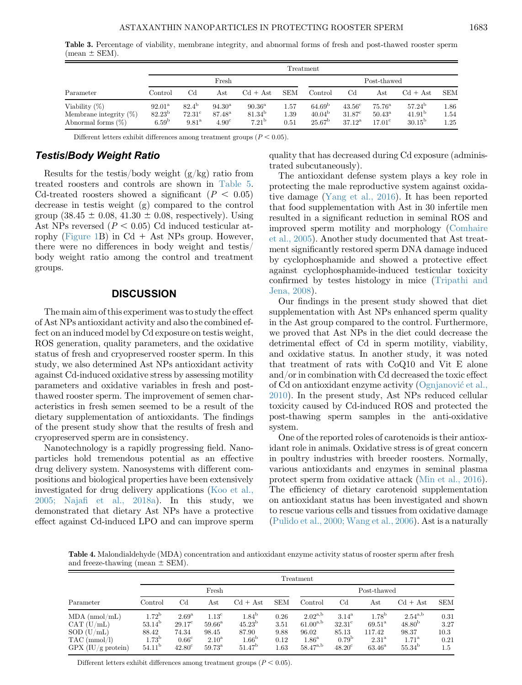<span id="page-5-0"></span>Table 3. Percentage of viability, membrane integrity, and abnormal forms of fresh and post-thawed rooster sperm  $(mean \pm SEM)$ .

|                                                                        |                                                         |                                                        |                                                      |                                                         |                      | Treatment                                                   |                                                            |                                                       |                                                          |                      |
|------------------------------------------------------------------------|---------------------------------------------------------|--------------------------------------------------------|------------------------------------------------------|---------------------------------------------------------|----------------------|-------------------------------------------------------------|------------------------------------------------------------|-------------------------------------------------------|----------------------------------------------------------|----------------------|
|                                                                        |                                                         |                                                        | Fresh                                                |                                                         |                      |                                                             |                                                            | Post-thawed                                           |                                                          |                      |
| Parameter                                                              | Control                                                 | $_{\rm Cd}$                                            | Ast                                                  | $Cd + Ast$                                              | <b>SEM</b>           | Control                                                     | $_{\rm Cd}$                                                | Ast                                                   | $Cd + Ast$                                               | <b>SEM</b>           |
| Viability $(\%)$<br>Membrane integrity $(\%)$<br>Abnormal forms $(\%)$ | $92.01^{\rm a}$<br>$82.23^{\rm b}$<br>6.59 <sup>b</sup> | $82.4^{\rm b}$<br>$72.31^{\circ}$<br>9.81 <sup>a</sup> | $94.30^{\rm a}$<br>$87.48^{\rm a}$<br>$4.90^{\circ}$ | $90.36^{\rm a}$<br>$81.34^{\rm b}$<br>7.21 <sup>b</sup> | 1.57<br>1.39<br>0.51 | 64.69 <sup>b</sup><br>40.04 <sup>b</sup><br>$25.67^{\rm b}$ | $43.56^{\circ}$<br>$31.87$ <sup>c</sup><br>$37.12^{\rm a}$ | $75.76^{\rm a}$<br>$50.43^{\rm a}$<br>$17.01^{\circ}$ | $57.24^{\rm b}$<br>41.91 <sup>b</sup><br>$30.15^{\rm b}$ | 1.86<br>1.54<br>1.25 |

Different letters exhibit differences among treatment groups ( $P < 0.05$ ).

## Testis/Body Weight Ratio

Results for the testis/body weight  $(g/kg)$  ratio from treated roosters and controls are shown in [Table 5.](#page-6-0) Cd-treated roosters showed a significant ( $P < 0.05$ ) decrease in testis weight (g) compared to the control group (38.45  $\pm$  0.08, 41.30  $\pm$  0.08, respectively). Using Ast NPs reversed  $(P < 0.05)$  Cd induced testicular at-rophy [\(Figure 1B](#page-3-0)) in  $Cd + Ast$  NPs group. However, there were no differences in body weight and testis/ body weight ratio among the control and treatment groups.

#### **DISCUSSION**

The main aim of this experiment was to study the effect of Ast NPs antioxidant activity and also the combined effect on an induced model by Cd exposure on testis weight, ROS generation, quality parameters, and the oxidative status of fresh and cryopreserved rooster sperm. In this study, we also determined Ast NPs antioxidant activity against Cd-induced oxidative stress by assessing motility parameters and oxidative variables in fresh and postthawed rooster sperm. The improvement of semen characteristics in fresh semen seemed to be a result of the dietary supplementation of antioxidants. The findings of the present study show that the results of fresh and cryopreserved sperm are in consistency.

Nanotechnology is a rapidly progressing field. Nanoparticles hold tremendous potential as an effective drug delivery system. Nanosystems with different compositions and biological properties have been extensively investigated for drug delivery applications ([Koo et al.,](#page-7-0) 2005; Najafi [et al., 2018a\)](#page-7-0). In this study, we demonstrated that dietary Ast NPs have a protective effect against Cd-induced LPO and can improve sperm quality that has decreased during Cd exposure (administrated subcutaneously).

The antioxidant defense system plays a key role in protecting the male reproductive system against oxidative damage [\(Yang et al., 2016\)](#page-8-0). It has been reported that food supplementation with Ast in 30 infertile men resulted in a significant reduction in seminal ROS and improved sperm motility and morphology [\(Comhaire](#page-7-0) [et al., 2005](#page-7-0)). Another study documented that Ast treatment significantly restored sperm DNA damage induced by cyclophosphamide and showed a protective effect against cyclophosphamide-induced testicular toxicity confirmed by testes histology in mice [\(Tripathi and](#page-8-0) [Jena, 2008](#page-8-0)).

Our findings in the present study showed that diet supplementation with Ast NPs enhanced sperm quality in the Ast group compared to the control. Furthermore, we proved that Ast NPs in the diet could decrease the detrimental effect of Cd in sperm motility, viability, and oxidative status. In another study, it was noted that treatment of rats with CoQ10 and Vit E alone and/or in combination with Cd decreased the toxic effect of Cd on antioxidant enzyme activity ([Ognjanovi](#page-7-0)c [et al.,](#page-7-0) [2010](#page-7-0)). In the present study, Ast NPs reduced cellular toxicity caused by Cd-induced ROS and protected the post-thawing sperm samples in the anti-oxidative system.

One of the reported roles of carotenoids is their antioxidant role in animals. Oxidative stress is of great concern in poultry industries with breeder roosters. Normally, various antioxidants and enzymes in seminal plasma protect sperm from oxidative attack ([Min et al., 2016](#page-7-0)). The efficiency of dietary carotenoid supplementation on antioxidant status has been investigated and shown to rescue various cells and tissues from oxidative damage [\(Pulido et al., 2000; Wang et al., 2006](#page-7-0)). Ast is a naturally

Table 4. Malondialdehyde (MDA) concentration and antioxidant enzyme activity status of rooster sperm after fresh and freeze-thawing (mean  $\pm$  SEM).

|                      |                 |                 |                     |                    |            | Treatment         |                   |                     |                    |            |
|----------------------|-----------------|-----------------|---------------------|--------------------|------------|-------------------|-------------------|---------------------|--------------------|------------|
|                      |                 |                 | Fresh               |                    |            |                   |                   | Post-thawed         |                    |            |
| Parameter            | Control         | $_{\rm Cd}$     | Ast                 | $Cd + Ast$         | <b>SEM</b> | Control           | $_{\rm Cd}$       | $_{\rm Ast}$        | $Cd + Ast$         | <b>SEM</b> |
| $MDA$ (nmol/mL)      | $1.72^{\rm b}$  | $2.69^{\rm a}$  | 1.13 <sup>c</sup>   | 1.84 <sup>b</sup>  | 0.26       | $2.02^{a,b}$      | $3.14^{\rm a}$    | 1.78 <sup>b</sup>   | $2.54^{a,b}$       | 0.31       |
| CAT (U/mL)           | $53.14^{\rm b}$ | $29.17^{\circ}$ | $59.66^{\rm a}$     | $45.23^{b}$        | 3.51       | $61.00^{a,b}$     | $32.31^{\circ}$   | $69.51^{\rm a}$     | 48.80 <sup>b</sup> | 3.27       |
| SOD (U/mL)           | 88.42           | 74.34           | 98.45               | 87.90              | 9.88       | 96.02             | 85.13             | 117.42              | 98.37              | 10.3       |
| $TAC$ (mmol/l)       | $1.73^{\rm b}$  | $0.66^{\circ}$  | $2.10^{\mathrm{a}}$ | 1.66 <sup>b</sup>  | 0.12       | 1.86 <sup>a</sup> | 0.79 <sup>b</sup> | $2.31^{\mathrm{a}}$ | $1.71^{\rm a}$     | 0.21       |
| $GPX$ (IU/g protein) | $54.11^{\rm b}$ | $42.80^\circ$   | $59.73^{\rm a}$     | 51.47 <sup>b</sup> | $1.63\,$   | $58.47^{a,b}$     | $48.20^{\circ}$   | $63.46^{\rm a}$     | $55.34^{\circ}$    | $1.5\,$    |

Different letters exhibit differences among treatment groups  $(P < 0.05)$ .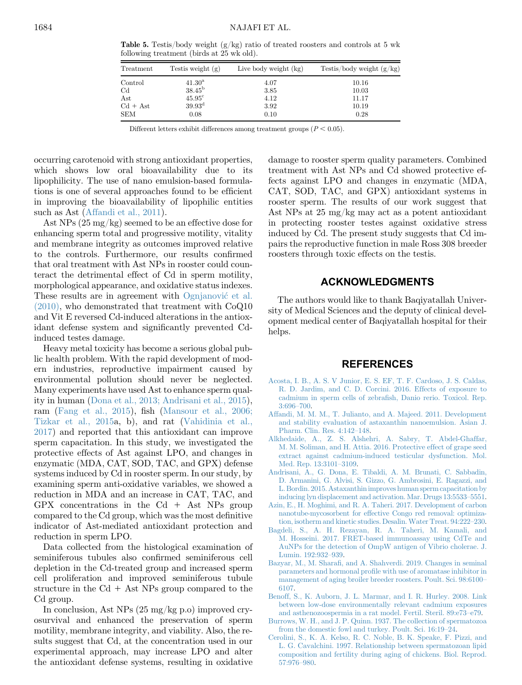<span id="page-6-0"></span>**Table 5.** Testis/body weight  $(g/kg)$  ratio of treated roosters and controls at 5 wk following treatment (birds at 25 wk old).

| Treatment   | Test is weight $(g)$ | Live body weight (kg) | Testis/body weight $(g/kg)$ |
|-------------|----------------------|-----------------------|-----------------------------|
| Control     | $41.30^{\rm a}$      | 4.07                  | 10.16                       |
| $_{\rm Cd}$ | $38.45^{\rm b}$      | 3.85                  | 10.03                       |
| Ast         | $45.95^{\circ}$      | 4.12                  | 11.17                       |
| $Cd + Ast$  | $39.93^{\rm d}$      | 3.92                  | 10.19                       |
| <b>SEM</b>  | 0.08                 | 0.10                  | 0.28                        |

Different letters exhibit differences among treatment groups  $(P < 0.05)$ .

occurring carotenoid with strong antioxidant properties, which shows low oral bioavailability due to its lipophilicity. The use of nano emulsion-based formulations is one of several approaches found to be efficient in improving the bioavailability of lipophilic entities such as Ast (Affandi et al., 2011).

Ast NPs (25 mg/kg) seemed to be an effective dose for enhancing sperm total and progressive motility, vitality and membrane integrity as outcomes improved relative to the controls. Furthermore, our results confirmed that oral treatment with Ast NPs in rooster could counteract the detrimental effect of Cd in sperm motility, morphological appearance, and oxidative status indexes. These results are in agreement with [Ognjanovi](#page-7-0)[c et al.](#page-7-0) [\(2010\),](#page-7-0) who demonstrated that treatment with CoQ10 and Vit E reversed Cd-induced alterations in the antioxidant defense system and significantly prevented Cdinduced testes damage.

Heavy metal toxicity has become a serious global public health problem. With the rapid development of modern industries, reproductive impairment caused by environmental pollution should never be neglected. Many experiments have used Ast to enhance sperm quality in human ([Dona et al., 2013; Andrisani et al., 2015\)](#page-7-0), ram [\(Fang et al., 2015\)](#page-7-0), fish [\(Mansour et al., 2006;](#page-7-0) [Tizkar et al., 2015](#page-7-0)a, b), and rat ([Vahidinia et al.,](#page-8-0) [2017\)](#page-8-0) and reported that this antioxidant can improve sperm capacitation. In this study, we investigated the protective effects of Ast against LPO, and changes in enzymatic (MDA, CAT, SOD, TAC, and GPX) defense systems induced by Cd in rooster sperm. In our study, by examining sperm anti-oxidative variables, we showed a reduction in MDA and an increase in CAT, TAC, and GPX concentrations in the  $Cd + Ast NPs$  group compared to the Cd group, which was the most definitive indicator of Ast-mediated antioxidant protection and reduction in sperm LPO.

Data collected from the histological examination of seminiferous tubules also confirmed seminiferous cell depletion in the Cd-treated group and increased sperm cell proliferation and improved seminiferous tubule structure in the  $Cd + Ast$  NPs group compared to the Cd group.

In conclusion, Ast NPs (25 mg/kg p.o) improved cryosurvival and enhanced the preservation of sperm motility, membrane integrity, and viability. Also, the results suggest that Cd, at the concentration used in our experimental approach, may increase LPO and alter the antioxidant defense systems, resulting in oxidative damage to rooster sperm quality parameters. Combined treatment with Ast NPs and Cd showed protective effects against LPO and changes in enzymatic (MDA, CAT, SOD, TAC, and GPX) antioxidant systems in rooster sperm. The results of our work suggest that Ast NPs at 25 mg/kg may act as a potent antioxidant in protecting rooster testes against oxidative stress induced by Cd. The present study suggests that Cd impairs the reproductive function in male Ross 308 breeder roosters through toxic effects on the testis.

### ACKNOWLEDGMENTS

The authors would like to thank Baqiyatallah University of Medical Sciences and the deputy of clinical development medical center of Baqiyatallah hospital for their helps.

#### **REFERENCES**

- [Acosta, I. B., A. S. V Junior, E. S. EF, T. F. Cardoso, J. S. Caldas,](http://refhub.elsevier.com/S0032-5791(19)57917-2/sref1) [R. D. Jardim, and C. D. Corcini. 2016. Effects of exposure to](http://refhub.elsevier.com/S0032-5791(19)57917-2/sref1) [cadmium in sperm cells of zebra](http://refhub.elsevier.com/S0032-5791(19)57917-2/sref1)fish, Danio rerio. Toxicol. Rep. [3:696](http://refhub.elsevier.com/S0032-5791(19)57917-2/sref1)–700.
- [Affandi, M. M. M., T. Julianto, and A. Majeed. 2011. Development](http://refhub.elsevier.com/S0032-5791(19)57917-2/sref2) [and stability evaluation of astaxanthin nanoemulsion. Asian J.](http://refhub.elsevier.com/S0032-5791(19)57917-2/sref2) [Pharm. Clin. Res. 4:142](http://refhub.elsevier.com/S0032-5791(19)57917-2/sref2)–148.
- [Alkhedaide, A., Z. S. Alshehri, A. Sabry, T. Abdel-Ghaffar,](http://refhub.elsevier.com/S0032-5791(19)57917-2/sref3) [M. M. Soliman, and H. Attia. 2016. Protective effect of grape seed](http://refhub.elsevier.com/S0032-5791(19)57917-2/sref3) [extract against cadmium-induced testicular dysfunction. Mol.](http://refhub.elsevier.com/S0032-5791(19)57917-2/sref3) [Med. Rep. 13:3101](http://refhub.elsevier.com/S0032-5791(19)57917-2/sref3)–3109.
- [Andrisani, A., G. Dona, E. Tibaldi, A. M. Brunati, C. Sabbadin,](http://refhub.elsevier.com/S0032-5791(19)57917-2/sref4) [D. Armanini, G. Alvisi, S. Gizzo, G. Ambrosini, E. Ragazzi, and](http://refhub.elsevier.com/S0032-5791(19)57917-2/sref4) [L. Bordin. 2015. Astaxanthin improves human sperm capacitation by](http://refhub.elsevier.com/S0032-5791(19)57917-2/sref4) [inducing lyn displacement and activation. Mar. Drugs 13:5533](http://refhub.elsevier.com/S0032-5791(19)57917-2/sref4)–5551.
- [Azin, E., H. Moghimi, and R. A. Taheri. 2017. Development of carbon](http://refhub.elsevier.com/S0032-5791(19)57917-2/sref5) [nanotube-mycosorbent for effective Congo red removal: optimiza](http://refhub.elsevier.com/S0032-5791(19)57917-2/sref5)[tion, isotherm and kinetic studies. Desalin. Water Treat. 94:222](http://refhub.elsevier.com/S0032-5791(19)57917-2/sref5)–230.
- [Bagdeli, S., A. H. Rezayan, R. A. Taheri, M. Kamali, and](http://refhub.elsevier.com/S0032-5791(19)57917-2/sref6) [M. Hosseini. 2017. FRET-based immunoassay using CdTe and](http://refhub.elsevier.com/S0032-5791(19)57917-2/sref6) [AuNPs for the detection of OmpW antigen of Vibrio cholerae. J.](http://refhub.elsevier.com/S0032-5791(19)57917-2/sref6) [Lumin. 192:932](http://refhub.elsevier.com/S0032-5791(19)57917-2/sref6)–939.
- Bazyar, M., M. Sharafi[, and A. Shahverdi. 2019. Changes in seminal](http://refhub.elsevier.com/S0032-5791(19)57917-2/sref7) parameters and hormonal profi[le with use of aromatase inhibitor in](http://refhub.elsevier.com/S0032-5791(19)57917-2/sref7) [management of aging broiler breeder roosters. Poult. Sci. 98:6100](http://refhub.elsevier.com/S0032-5791(19)57917-2/sref7)– [6107](http://refhub.elsevier.com/S0032-5791(19)57917-2/sref7).
- [Benoff, S., K. Auborn, J. L. Marmar, and I. R. Hurley. 2008. Link](http://refhub.elsevier.com/S0032-5791(19)57917-2/sref8) [between low-dose environmentally relevant cadmium exposures](http://refhub.elsevier.com/S0032-5791(19)57917-2/sref8) [and asthenozoospermia in a rat model. Fertil. Steril. 89:e73](http://refhub.elsevier.com/S0032-5791(19)57917-2/sref8)–e79.
- [Burrows, W. H., and J. P. Quinn. 1937. The collection of spermatozoa](http://refhub.elsevier.com/S0032-5791(19)57917-2/sref9) [from the domestic fowl and turkey. Poult. Sci. 16:19](http://refhub.elsevier.com/S0032-5791(19)57917-2/sref9)–24.
- [Cerolini, S., K. A. Kelso, R. C. Noble, B. K. Speake, F. Pizzi, and](http://refhub.elsevier.com/S0032-5791(19)57917-2/sref10) [L. G. Cavalchini. 1997. Relationship between spermatozoan lipid](http://refhub.elsevier.com/S0032-5791(19)57917-2/sref10) [composition and fertility during aging of chickens. Biol. Reprod.](http://refhub.elsevier.com/S0032-5791(19)57917-2/sref10) [57:976](http://refhub.elsevier.com/S0032-5791(19)57917-2/sref10)–980.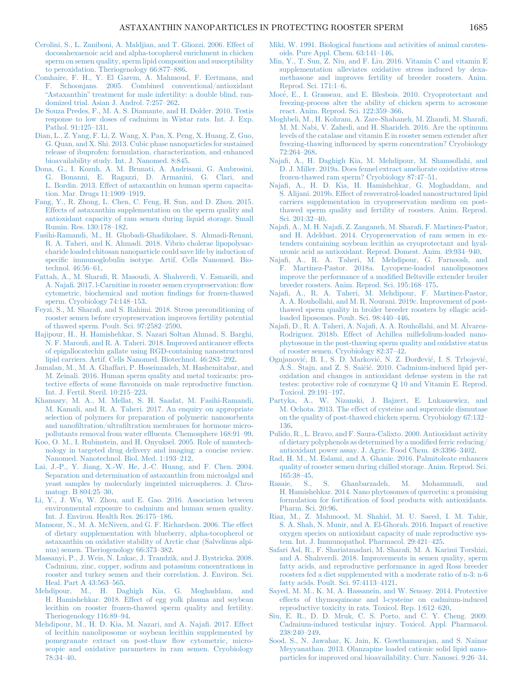- <span id="page-7-0"></span>[Cerolini, S., L. Zaniboni, A. Maldjian, and T. Gliozzi. 2006. Effect of](http://refhub.elsevier.com/S0032-5791(19)57917-2/sref11) [docosahexaenoic acid and alpha-tocopherol enrichment in chicken](http://refhub.elsevier.com/S0032-5791(19)57917-2/sref11) [sperm on semen quality, sperm lipid composition and susceptibility](http://refhub.elsevier.com/S0032-5791(19)57917-2/sref11) [to peroxidation. Theriogenology 66:877](http://refhub.elsevier.com/S0032-5791(19)57917-2/sref11)–886.
- [Comhaire, F. H., Y. El Garem, A. Mahmoud, F. Eertmans, and](http://refhub.elsevier.com/S0032-5791(19)57917-2/sref12) [F. Schoonjans. 2005. Combined conventional/antioxidant](http://refhub.elsevier.com/S0032-5791(19)57917-2/sref12) "Astaxanthin" [treatment for male infertility: a double blind, ran](http://refhub.elsevier.com/S0032-5791(19)57917-2/sref12)[domized trial. Asian J. Androl. 7:257](http://refhub.elsevier.com/S0032-5791(19)57917-2/sref12)–262.
- [De Souza Predes, F., M. A. S. Diamante, and H. Dolder. 2010. Testis](http://refhub.elsevier.com/S0032-5791(19)57917-2/sref13) [response to low doses of cadmium in Wistar rats. Int. J. Exp.](http://refhub.elsevier.com/S0032-5791(19)57917-2/sref13) [Pathol. 91:125](http://refhub.elsevier.com/S0032-5791(19)57917-2/sref13)–131.
- [Dian, L., Z. Yang, F. Li, Z. Wang, X. Pan, X. Peng, X. Huang, Z. Guo,](http://refhub.elsevier.com/S0032-5791(19)57917-2/sref14) [G. Quan, and X. Shi. 2013. Cubic phase nanoparticles for sustained](http://refhub.elsevier.com/S0032-5791(19)57917-2/sref14) [release of ibuprofen: formulation, characterization, and enhanced](http://refhub.elsevier.com/S0032-5791(19)57917-2/sref14) [bioavailability study. Int. J. Nanomed. 8:845.](http://refhub.elsevier.com/S0032-5791(19)57917-2/sref14)
- [Dona, G., I. Kozuh, A. M. Brunati, A. Andrisani, G. Ambrosini,](http://refhub.elsevier.com/S0032-5791(19)57917-2/sref15) [G. Bonanni, E. Ragazzi, D. Armanini, G. Clari, and](http://refhub.elsevier.com/S0032-5791(19)57917-2/sref15) [L. Bordin. 2013. Effect of astaxanthin on human sperm capacita](http://refhub.elsevier.com/S0032-5791(19)57917-2/sref15)[tion. Mar. Drugs 11:1909](http://refhub.elsevier.com/S0032-5791(19)57917-2/sref15)–1919.
- [Fang, Y., R. Zhong, L. Chen, C. Feng, H. Sun, and D. Zhou. 2015.](http://refhub.elsevier.com/S0032-5791(19)57917-2/sref16) [Effects of astaxanthin supplementation on the sperm quality and](http://refhub.elsevier.com/S0032-5791(19)57917-2/sref16) [antioxidant capacity of ram semen during liquid storage. Small](http://refhub.elsevier.com/S0032-5791(19)57917-2/sref16) [Rumin. Res. 130:178](http://refhub.elsevier.com/S0032-5791(19)57917-2/sref16)–182.
- [Fasihi-Ramandi, M., H. Ghobadi-Ghadikolaee, S. Ahmadi-Renani,](http://refhub.elsevier.com/S0032-5791(19)57917-2/sref17) [R. A. Taheri, and K. Ahmadi. 2018. Vibrio cholerae lipopolysac](http://refhub.elsevier.com/S0032-5791(19)57917-2/sref17)[charide loaded chitosan nanoparticle could save life by induction of](http://refhub.elsevier.com/S0032-5791(19)57917-2/sref17) specifi[c immunoglobulin isotype. Artif. Cells Nanomed. Bio](http://refhub.elsevier.com/S0032-5791(19)57917-2/sref17)[technol. 46:56](http://refhub.elsevier.com/S0032-5791(19)57917-2/sref17)–61.
- Fattah, A., M. Sharafi[, R. Masoudi, A. Shahverdi, V. Esmaeili, and](http://refhub.elsevier.com/S0032-5791(19)57917-2/sref18) A. Najafi[. 2017. l-Carnitine in rooster semen cryopreservation:](http://refhub.elsevier.com/S0032-5791(19)57917-2/sref18) flow [cytometric, biochemical and motion](http://refhub.elsevier.com/S0032-5791(19)57917-2/sref18) findings for frozen-thawed [sperm. Cryobiology 74:148](http://refhub.elsevier.com/S0032-5791(19)57917-2/sref18)–153.
- Feyzi, S., M. Sharafi[, and S. Rahimi. 2018. Stress preconditioning of](http://refhub.elsevier.com/S0032-5791(19)57917-2/sref19) [rooster semen before cryopreservation improves fertility potential](http://refhub.elsevier.com/S0032-5791(19)57917-2/sref19) [of thawed sperm. Poult. Sci. 97:2582](http://refhub.elsevier.com/S0032-5791(19)57917-2/sref19)–2590.
- [Hajipour, H., H. Hamishehkar, S. Nazari Soltan Ahmad, S. Barghi,](http://refhub.elsevier.com/S0032-5791(19)57917-2/sref20) N. F. Maroufi[, and R. A. Taheri. 2018. Improved anticancer effects](http://refhub.elsevier.com/S0032-5791(19)57917-2/sref20) [of epigallocatechin gallate using RGD-containing nanostructured](http://refhub.elsevier.com/S0032-5791(19)57917-2/sref20) [lipid carriers. Artif. Cells Nanomed. Biotechnol. 46:283](http://refhub.elsevier.com/S0032-5791(19)57917-2/sref20)–292.
- [Jamalan, M., M. A. Ghaffari, P. Hoseinzadeh, M. Hashemitabar, and](http://refhub.elsevier.com/S0032-5791(19)57917-2/sref21) [M. Zeinali. 2016. Human sperm quality and metal toxicants: pro](http://refhub.elsevier.com/S0032-5791(19)57917-2/sref21)tective effects of some fl[avonoids on male reproductive function.](http://refhub.elsevier.com/S0032-5791(19)57917-2/sref21) [Int. J. Fertil. Steril. 10:215](http://refhub.elsevier.com/S0032-5791(19)57917-2/sref21)–223.
- [Khansary, M. A., M. Mellat, S. H. Saadat, M. Fasihi-Ramandi,](http://refhub.elsevier.com/S0032-5791(19)57917-2/sref22) [M. Kamali, and R. A. Taheri. 2017. An enquiry on appropriate](http://refhub.elsevier.com/S0032-5791(19)57917-2/sref22) [selection of polymers for preparation of polymeric nanosorbents](http://refhub.elsevier.com/S0032-5791(19)57917-2/sref22) and nanofiltration/ultrafi[ltration membranes for hormone micro](http://refhub.elsevier.com/S0032-5791(19)57917-2/sref22)[pollutants removal from water ef](http://refhub.elsevier.com/S0032-5791(19)57917-2/sref22)fluents. Chemosphere 168:91–99.
- [Koo, O. M., I. Rubinstein, and H. Onyuksel. 2005. Role of nanotech](http://refhub.elsevier.com/S0032-5791(19)57917-2/sref23)[nology in targeted drug delivery and imaging: a concise review.](http://refhub.elsevier.com/S0032-5791(19)57917-2/sref23) [Nanomed. Nanotechnol. Biol. Med. 1:193](http://refhub.elsevier.com/S0032-5791(19)57917-2/sref23)–212.
- [Lai, J.-P., Y. Jiang, X.-W. He, J.-C. Huang, and F. Chen. 2004.](http://refhub.elsevier.com/S0032-5791(19)57917-2/sref24) [Separation and determination of astaxanthin from microalgal and](http://refhub.elsevier.com/S0032-5791(19)57917-2/sref24) [yeast samples by molecularly imprinted microspheres. J. Chro](http://refhub.elsevier.com/S0032-5791(19)57917-2/sref24)[matogr. B 804:25](http://refhub.elsevier.com/S0032-5791(19)57917-2/sref24)–30.
- [Li, Y., J. Wu, W. Zhou, and E. Gao. 2016. Association between](http://refhub.elsevier.com/S0032-5791(19)57917-2/sref25) [environmental exposure to cadmium and human semen quality.](http://refhub.elsevier.com/S0032-5791(19)57917-2/sref25) [Int. J. Environ. Health Res. 26:175](http://refhub.elsevier.com/S0032-5791(19)57917-2/sref25)–186.
- [Mansour, N., M. A. McNiven, and G. F. Richardson. 2006. The effect](http://refhub.elsevier.com/S0032-5791(19)57917-2/sref26) [of dietary supplementation with blueberry, alpha-tocopherol or](http://refhub.elsevier.com/S0032-5791(19)57917-2/sref26) [astaxanthin on oxidative stability of Arctic char \(Salvelinus alpi](http://refhub.elsevier.com/S0032-5791(19)57917-2/sref26)[nus\) semen. Theriogenology 66:373](http://refhub.elsevier.com/S0032-5791(19)57917-2/sref26)–382.
- [Massanyi, P., J. Weis, N. Lukac, J. Trandzik, and J. Bystricka. 2008.](http://refhub.elsevier.com/S0032-5791(19)57917-2/sref27) [Cadmium, zinc, copper, sodium and potassium concentrations in](http://refhub.elsevier.com/S0032-5791(19)57917-2/sref27) [rooster and turkey semen and their correlation. J. Environ. Sci.](http://refhub.elsevier.com/S0032-5791(19)57917-2/sref27) [Heal. Part A 43:563](http://refhub.elsevier.com/S0032-5791(19)57917-2/sref27)–565.
- [Mehdipour, M., H. Daghigh Kia, G. Moghaddam, and](http://refhub.elsevier.com/S0032-5791(19)57917-2/sref28) [H. Hamishehkar. 2018. Effect of egg yolk plasma and soybean](http://refhub.elsevier.com/S0032-5791(19)57917-2/sref28) [lecithin on rooster frozen-thawed sperm quality and fertility.](http://refhub.elsevier.com/S0032-5791(19)57917-2/sref28) [Theriogenology 116:89](http://refhub.elsevier.com/S0032-5791(19)57917-2/sref28)–94.
- [Mehdipour, M., H. D. Kia, M. Nazari, and A. Naja](http://refhub.elsevier.com/S0032-5791(19)57917-2/sref29)fi. 2017. Effect [of lecithin nanoliposome or soybean lecithin supplemented by](http://refhub.elsevier.com/S0032-5791(19)57917-2/sref29) [pomegranate extract on post-thaw](http://refhub.elsevier.com/S0032-5791(19)57917-2/sref29) flow cytometric, micro[scopic and oxidative parameters in ram semen. Cryobiology](http://refhub.elsevier.com/S0032-5791(19)57917-2/sref29) [78:34](http://refhub.elsevier.com/S0032-5791(19)57917-2/sref29)–40.
- [Miki, W. 1991. Biological functions and activities of animal caroten](http://refhub.elsevier.com/S0032-5791(19)57917-2/sref30)[oids. Pure Appl. Chem. 63:141](http://refhub.elsevier.com/S0032-5791(19)57917-2/sref30)–146.
- [Min, Y., T. Sun, Z. Niu, and F. Liu. 2016. Vitamin C and vitamin E](http://refhub.elsevier.com/S0032-5791(19)57917-2/sref31) [supplementation alleviates oxidative stress induced by dexa](http://refhub.elsevier.com/S0032-5791(19)57917-2/sref31)[methasone and improves fertility of breeder roosters. Anim.](http://refhub.elsevier.com/S0032-5791(19)57917-2/sref31) [Reprod. Sci. 171:1](http://refhub.elsevier.com/S0032-5791(19)57917-2/sref31)–6.
- [Moc](http://refhub.elsevier.com/S0032-5791(19)57917-2/sref32)e[, E., I. Grasseau, and E. Blesbois. 2010. Cryoprotectant and](http://refhub.elsevier.com/S0032-5791(19)57917-2/sref32) [freezing-process alter the ability of chicken sperm to acrosome](http://refhub.elsevier.com/S0032-5791(19)57917-2/sref32) [react. Anim. Reprod. Sci. 122:359](http://refhub.elsevier.com/S0032-5791(19)57917-2/sref32)–366.
- [Moghbeli, M., H. Kohram, A. Zare-Shahaneh, M. Zhandi, M. Shara](http://refhub.elsevier.com/S0032-5791(19)57917-2/sref33)fi, [M. M. Nabi, V. Zahedi, and H. Sharideh. 2016. Are the optimum](http://refhub.elsevier.com/S0032-5791(19)57917-2/sref33) [levels of the catalase and vitamin E in rooster semen extender after](http://refhub.elsevier.com/S0032-5791(19)57917-2/sref33) freezing-thawing infl[uenced by sperm concentration? Cryobiology](http://refhub.elsevier.com/S0032-5791(19)57917-2/sref33) [72:264](http://refhub.elsevier.com/S0032-5791(19)57917-2/sref33)–268.
- Najafi[, A., H. Daghigh Kia, M. Mehdipour, M. Shamsollahi, and](http://refhub.elsevier.com/S0032-5791(19)57917-2/sref34) [D. J. Miller. 2019a. Does fennel extract ameliorate oxidative stress](http://refhub.elsevier.com/S0032-5791(19)57917-2/sref34) [frozen-thawed ram sperm? Cryobiology 87:47](http://refhub.elsevier.com/S0032-5791(19)57917-2/sref34)–51.
- Najafi[, A., H. D. Kia, H. Hamishehkar, G. Moghaddam, and](http://refhub.elsevier.com/S0032-5791(19)57917-2/sref35) [S. Alijani. 2019b. Effect of resveratrol-loaded nanostructured lipid](http://refhub.elsevier.com/S0032-5791(19)57917-2/sref35) [carriers supplementation in cryopreservation medium on post](http://refhub.elsevier.com/S0032-5791(19)57917-2/sref35)[thawed sperm quality and fertility of roosters. Anim. Reprod.](http://refhub.elsevier.com/S0032-5791(19)57917-2/sref35) [Sci. 201:32](http://refhub.elsevier.com/S0032-5791(19)57917-2/sref35)–40.
- Najafi, A., M. H. Najafi[, Z. Zanganeh, M. Shara](http://refhub.elsevier.com/S0032-5791(19)57917-2/sref36)fi, F. Martinez-Pastor, [and H. Adeldust. 2014. Cryopreservation of ram semen in ex](http://refhub.elsevier.com/S0032-5791(19)57917-2/sref36)[tenders containing soybean lecithin as cryoprotectant and hyal](http://refhub.elsevier.com/S0032-5791(19)57917-2/sref36)[uronic acid as antioxidant. Reprod. Domest. Anim. 49:934](http://refhub.elsevier.com/S0032-5791(19)57917-2/sref36)–940.
- Najafi[, A., R. A. Taheri, M. Mehdipour, G. Farnoosh, and](http://refhub.elsevier.com/S0032-5791(19)57917-2/sref37) [F. Mart](http://refhub.elsevier.com/S0032-5791(19)57917-2/sref37)í[nez-Pastor. 2018a. Lycopene-loaded nanoliposomes](http://refhub.elsevier.com/S0032-5791(19)57917-2/sref37) [improve the performance of a modi](http://refhub.elsevier.com/S0032-5791(19)57917-2/sref37)fied Beltsville extender broiler [breeder roosters. Anim. Reprod. Sci. 195:168](http://refhub.elsevier.com/S0032-5791(19)57917-2/sref37)–175.
- Najafi[, A., R. A. Taheri, M. Mehdipour, F. Mart](http://refhub.elsevier.com/S0032-5791(19)57917-2/sref38)í[nez-Pastor,](http://refhub.elsevier.com/S0032-5791(19)57917-2/sref38) [A. A. Rouhollahi, and M. R. Nourani. 2019c. Improvement of post](http://refhub.elsevier.com/S0032-5791(19)57917-2/sref38)[thawed sperm quality in broiler breeder roosters by ellagic acid](http://refhub.elsevier.com/S0032-5791(19)57917-2/sref38)[loaded liposomes. Poult. Sci. 98:440](http://refhub.elsevier.com/S0032-5791(19)57917-2/sref38)–446.
- Najafi, D., R. A. Taheri, A. Najafi[, A. A. Rouhollahi, and M. Alvarez-](http://refhub.elsevier.com/S0032-5791(19)57917-2/sref39)[Rodriguez. 2018b. Effect of Achillea millefolium-loaded nano](http://refhub.elsevier.com/S0032-5791(19)57917-2/sref39)[phytosome in the post-thawing sperm quality and oxidative status](http://refhub.elsevier.com/S0032-5791(19)57917-2/sref39) [of rooster semen. Cryobiology 82:37](http://refhub.elsevier.com/S0032-5791(19)57917-2/sref39)–42.
- [Ognjanovi](http://refhub.elsevier.com/S0032-5791(19)57917-2/sref40)ć[, B. I., S. D. Markovi](http://refhub.elsevier.com/S0032-5791(19)57917-2/sref40)ć[, N. Z.](http://refhub.elsevier.com/S0032-5791(19)57917-2/sref40) Đorđ[evi](http://refhub.elsevier.com/S0032-5791(19)57917-2/sref40)ć[, I. S. Trbojevi](http://refhub.elsevier.com/S0032-5791(19)57917-2/sref40)ć[,](http://refhub.elsevier.com/S0032-5791(19)57917-2/sref40) [A.S..](http://refhub.elsevier.com/S0032-5791(19)57917-2/sref40) Štajn, and Z. S. Saičić. 2010. Cadmium-induced lipid per[oxidation and changes in antioxidant defense system in the rat](http://refhub.elsevier.com/S0032-5791(19)57917-2/sref40) [testes: protective role of coenzyme Q 10 and Vitamin E. Reprod.](http://refhub.elsevier.com/S0032-5791(19)57917-2/sref40) [Toxicol. 29:191](http://refhub.elsevier.com/S0032-5791(19)57917-2/sref40)–197.
- [Partyka, A., W. Nizanski, J. Bajzert, E. Lukaszewicz, and](http://refhub.elsevier.com/S0032-5791(19)57917-2/sref41) [M. Ochota. 2013. The effect of cysteine and superoxide dismutase](http://refhub.elsevier.com/S0032-5791(19)57917-2/sref41) [on the quality of post-thawed chicken sperm. Cryobiology 67:132](http://refhub.elsevier.com/S0032-5791(19)57917-2/sref41)– [136.](http://refhub.elsevier.com/S0032-5791(19)57917-2/sref41)
- [Pulido, R., L. Bravo, and F. Saura-Calixto. 2000. Antioxidant activity](http://refhub.elsevier.com/S0032-5791(19)57917-2/sref42) [of dietary polyphenols as determined by a modi](http://refhub.elsevier.com/S0032-5791(19)57917-2/sref42)fied ferric reducing/ [antioxidant power assay. J. Agric. Food Chem. 48:3396](http://refhub.elsevier.com/S0032-5791(19)57917-2/sref42)–3402.
- [Rad, H. M., M. Eslami, and A. Ghanie. 2016. Palmitoleate enhances](http://refhub.elsevier.com/S0032-5791(19)57917-2/sref43) [quality of rooster semen during chilled storage. Anim. Reprod. Sci.](http://refhub.elsevier.com/S0032-5791(19)57917-2/sref43) [165:38](http://refhub.elsevier.com/S0032-5791(19)57917-2/sref43)–45.
- [Rasaie, S., S. Ghanbarzadeh, M. Mohammadi, and](http://refhub.elsevier.com/S0032-5791(19)57917-2/sref44) [H. Hamishehkar. 2014. Nano phytosomes of quercetin: a promising](http://refhub.elsevier.com/S0032-5791(19)57917-2/sref44) formulation for fortifi[cation of food products with antioxidants.](http://refhub.elsevier.com/S0032-5791(19)57917-2/sref44) [Pharm. Sci. 20:96](http://refhub.elsevier.com/S0032-5791(19)57917-2/sref44).
- [Riaz, M., Z. Mahmood, M. Shahid, M. U. Saeed, I. M. Tahir,](http://refhub.elsevier.com/S0032-5791(19)57917-2/sref45) [S. A. Shah, N. Munir, and A. El-Ghorab. 2016. Impact of reactive](http://refhub.elsevier.com/S0032-5791(19)57917-2/sref45) [oxygen species on antioxidant capacity of male reproductive sys](http://refhub.elsevier.com/S0032-5791(19)57917-2/sref45)[tem. Int. J. Immunopathol. Pharmacol. 29:421](http://refhub.elsevier.com/S0032-5791(19)57917-2/sref45)–425.
- [Safari Asl, R., F. Shariatmadari, M. Shara](http://refhub.elsevier.com/S0032-5791(19)57917-2/sref46)fi, M. A. Karimi Torshizi, [and A. Shahverdi. 2018. Improvements in semen quality, sperm](http://refhub.elsevier.com/S0032-5791(19)57917-2/sref46) [fatty acids, and reproductive performance in aged Ross breeder](http://refhub.elsevier.com/S0032-5791(19)57917-2/sref46) [roosters fed a diet supplemented with a moderate ratio of n-3: n-6](http://refhub.elsevier.com/S0032-5791(19)57917-2/sref46) [fatty acids. Poult. Sci. 97:4113](http://refhub.elsevier.com/S0032-5791(19)57917-2/sref46)–4121.
- [Sayed, M. M., K. M. A. Hassanein, and W. Senosy. 2014. Protective](http://refhub.elsevier.com/S0032-5791(19)57917-2/sref47) [effects of thymoquinone and l-cysteine on cadmium-induced](http://refhub.elsevier.com/S0032-5791(19)57917-2/sref47) [reproductive toxicity in rats. Toxicol. Rep. 1:612](http://refhub.elsevier.com/S0032-5791(19)57917-2/sref47)–620.
- [Siu, E. R., D. D. Mruk, C. S. Porto, and C. Y. Cheng. 2009.](http://refhub.elsevier.com/S0032-5791(19)57917-2/sref48) [Cadmium-induced testicular injury. Toxicol. Appl. Pharmacol.](http://refhub.elsevier.com/S0032-5791(19)57917-2/sref48) [238:240](http://refhub.elsevier.com/S0032-5791(19)57917-2/sref48)–249.
- [Sood, S., N. Jawahar, K. Jain, K. Gowthamarajan, and S. Nainar](http://refhub.elsevier.com/S0032-5791(19)57917-2/sref49) [Meyyanathan. 2013. Olanzapine loaded cationic solid lipid nano](http://refhub.elsevier.com/S0032-5791(19)57917-2/sref49)[particles for improved oral bioavailability. Curr. Nanosci. 9:26](http://refhub.elsevier.com/S0032-5791(19)57917-2/sref49)–34.